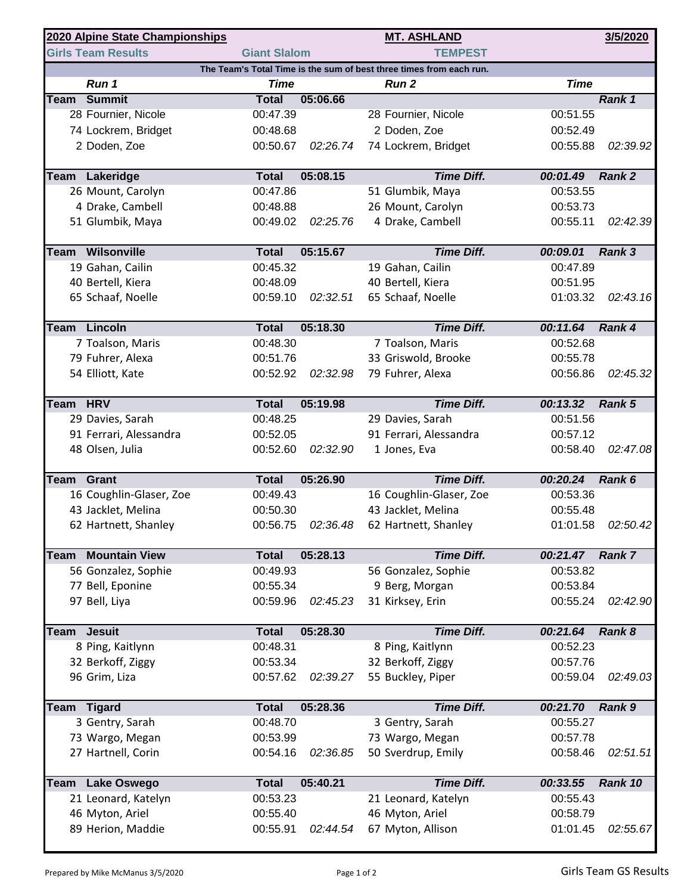|                                                                     | 2020 Alpine State Championships |                     | <b>MT. ASHLAND</b> |                         | 3/5/2020    |               |  |  |  |  |  |
|---------------------------------------------------------------------|---------------------------------|---------------------|--------------------|-------------------------|-------------|---------------|--|--|--|--|--|
|                                                                     | <b>Girls Team Results</b>       | <b>Giant Slalom</b> |                    | <b>TEMPEST</b>          |             |               |  |  |  |  |  |
| The Team's Total Time is the sum of best three times from each run. |                                 |                     |                    |                         |             |               |  |  |  |  |  |
|                                                                     | Run 1                           | <b>Time</b>         |                    | Run <sub>2</sub>        | <b>Time</b> |               |  |  |  |  |  |
| Team                                                                | <b>Summit</b>                   | <b>Total</b>        | 05:06.66           |                         |             | Rank 1        |  |  |  |  |  |
|                                                                     | 28 Fournier, Nicole             | 00:47.39            |                    | 28 Fournier, Nicole     | 00:51.55    |               |  |  |  |  |  |
|                                                                     | 74 Lockrem, Bridget             | 00:48.68            |                    | 2 Doden, Zoe            | 00:52.49    |               |  |  |  |  |  |
|                                                                     | 2 Doden, Zoe                    | 00:50.67            | 02:26.74           | 74 Lockrem, Bridget     | 00:55.88    | 02:39.92      |  |  |  |  |  |
| Team                                                                | Lakeridge                       | <b>Total</b>        | 05:08.15           | <b>Time Diff.</b>       | 00:01.49    | Rank 2        |  |  |  |  |  |
|                                                                     | 26 Mount, Carolyn               | 00:47.86            |                    | 51 Glumbik, Maya        | 00:53.55    |               |  |  |  |  |  |
|                                                                     | 4 Drake, Cambell                | 00:48.88            |                    | 26 Mount, Carolyn       | 00:53.73    |               |  |  |  |  |  |
|                                                                     | 51 Glumbik, Maya                | 00:49.02            | 02:25.76           | 4 Drake, Cambell        | 00:55.11    | 02:42.39      |  |  |  |  |  |
| Team                                                                | Wilsonville                     | <b>Total</b>        | 05:15.67           | <b>Time Diff.</b>       | 00:09.01    | Rank 3        |  |  |  |  |  |
|                                                                     | 19 Gahan, Cailin                | 00:45.32            |                    | 19 Gahan, Cailin        | 00:47.89    |               |  |  |  |  |  |
|                                                                     | 40 Bertell, Kiera               | 00:48.09            |                    | 40 Bertell, Kiera       | 00:51.95    |               |  |  |  |  |  |
|                                                                     | 65 Schaaf, Noelle               | 00:59.10            | 02:32.51           | 65 Schaaf, Noelle       | 01:03.32    | 02:43.16      |  |  |  |  |  |
|                                                                     | Team Lincoln                    | <b>Total</b>        | 05:18.30           | <b>Time Diff.</b>       | 00:11.64    | Rank 4        |  |  |  |  |  |
|                                                                     | 7 Toalson, Maris                | 00:48.30            |                    | 7 Toalson, Maris        | 00:52.68    |               |  |  |  |  |  |
|                                                                     | 79 Fuhrer, Alexa                | 00:51.76            |                    | 33 Griswold, Brooke     | 00:55.78    |               |  |  |  |  |  |
|                                                                     | 54 Elliott, Kate                | 00:52.92            | 02:32.98           | 79 Fuhrer, Alexa        | 00:56.86    | 02:45.32      |  |  |  |  |  |
|                                                                     |                                 |                     |                    |                         |             |               |  |  |  |  |  |
| Team                                                                | <b>HRV</b>                      | <b>Total</b>        | 05:19.98           | <b>Time Diff.</b>       | 00:13.32    | Rank 5        |  |  |  |  |  |
|                                                                     | 29 Davies, Sarah                | 00:48.25            |                    | 29 Davies, Sarah        | 00:51.56    |               |  |  |  |  |  |
|                                                                     | 91 Ferrari, Alessandra          | 00:52.05            |                    | 91 Ferrari, Alessandra  | 00:57.12    |               |  |  |  |  |  |
|                                                                     | 48 Olsen, Julia                 | 00:52.60            | 02:32.90           | 1 Jones, Eva            | 00:58.40    | 02:47.08      |  |  |  |  |  |
| Team                                                                | Grant                           | <b>Total</b>        | 05:26.90           | <b>Time Diff.</b>       | 00:20.24    | Rank 6        |  |  |  |  |  |
|                                                                     | 16 Coughlin-Glaser, Zoe         | 00:49.43            |                    | 16 Coughlin-Glaser, Zoe | 00:53.36    |               |  |  |  |  |  |
|                                                                     | 43 Jacklet, Melina              | 00:50.30            |                    | 43 Jacklet, Melina      | 00:55.48    |               |  |  |  |  |  |
|                                                                     | 62 Hartnett, Shanley            | 00:56.75            | 02:36.48           | 62 Hartnett, Shanley    | 01:01.58    | 02:50.42      |  |  |  |  |  |
| Team                                                                | <b>Mountain View</b>            | <b>Total</b>        | 05:28.13           | <b>Time Diff.</b>       | 00:21.47    | <b>Rank 7</b> |  |  |  |  |  |
|                                                                     | 56 Gonzalez, Sophie             | 00:49.93            |                    | 56 Gonzalez, Sophie     | 00:53.82    |               |  |  |  |  |  |
|                                                                     | 77 Bell, Eponine                | 00:55.34            |                    | 9 Berg, Morgan          | 00:53.84    |               |  |  |  |  |  |
|                                                                     | 97 Bell, Liya                   | 00:59.96            | 02:45.23           | 31 Kirksey, Erin        | 00:55.24    | 02:42.90      |  |  |  |  |  |
| Team                                                                | <b>Jesuit</b>                   | <b>Total</b>        | 05:28.30           | <b>Time Diff.</b>       | 00:21.64    | Rank 8        |  |  |  |  |  |
|                                                                     | 8 Ping, Kaitlynn                | 00:48.31            |                    | 8 Ping, Kaitlynn        | 00:52.23    |               |  |  |  |  |  |
|                                                                     | 32 Berkoff, Ziggy               | 00:53.34            |                    | 32 Berkoff, Ziggy       | 00:57.76    |               |  |  |  |  |  |
|                                                                     | 96 Grim, Liza                   | 00:57.62            | 02:39.27           | 55 Buckley, Piper       | 00:59.04    | 02:49.03      |  |  |  |  |  |
|                                                                     |                                 |                     |                    |                         |             |               |  |  |  |  |  |
| <b>Team</b>                                                         | <b>Tigard</b>                   | <b>Total</b>        | 05:28.36           | <b>Time Diff.</b>       | 00:21.70    | Rank 9        |  |  |  |  |  |
|                                                                     | 3 Gentry, Sarah                 | 00:48.70            |                    | 3 Gentry, Sarah         | 00:55.27    |               |  |  |  |  |  |
|                                                                     | 73 Wargo, Megan                 | 00:53.99            |                    | 73 Wargo, Megan         | 00:57.78    |               |  |  |  |  |  |
|                                                                     | 27 Hartnell, Corin              | 00:54.16            | 02:36.85           | 50 Sverdrup, Emily      | 00:58.46    | 02:51.51      |  |  |  |  |  |
| Team                                                                | <b>Lake Oswego</b>              | <b>Total</b>        | 05:40.21           | <b>Time Diff.</b>       | 00:33.55    | Rank 10       |  |  |  |  |  |
|                                                                     | 21 Leonard, Katelyn             | 00:53.23            |                    | 21 Leonard, Katelyn     | 00:55.43    |               |  |  |  |  |  |
|                                                                     | 46 Myton, Ariel                 | 00:55.40            |                    | 46 Myton, Ariel         | 00:58.79    |               |  |  |  |  |  |
|                                                                     | 89 Herion, Maddie               | 00:55.91            | 02:44.54           | 67 Myton, Allison       | 01:01.45    | 02:55.67      |  |  |  |  |  |
|                                                                     |                                 |                     |                    |                         |             |               |  |  |  |  |  |